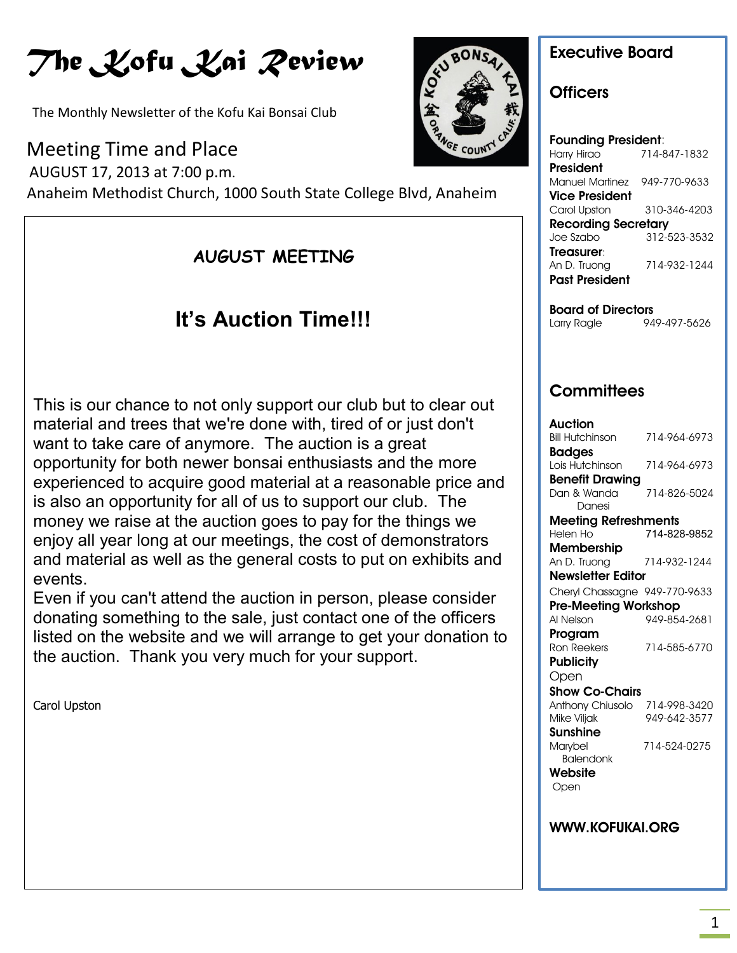# *The Kofu Kai Review*

The Monthly Newsletter of the Kofu Kai Bonsai Club

Meeting Time and Place

 AUGUST 17, 2013 at 7:00 p.m. Anaheim Methodist Church, 1000 South State College Blvd, Anaheim

### **AUGUST MEETING**

# **It's Auction Time!!!**

 experienced to acquire good material at a reasonable price and **UPCOMING EVENTS** and material as well as the general costs to put on exhibits and This is our chance to not only support our club but to clear out material and trees that we're done with, tired of or just don't want to take care of anymore. The auction is a great opportunity for both newer bonsai enthusiasts and the more is also an opportunity for all of us to support our club. The money we raise at the auction goes to pay for the things we enjoy all year long at our meetings, the cost of demonstrators events.

Even if you can't attend the auction in person, please consider donating something to the sale, just contact one of the officers listed on the website and we will arrange to get your donation to the auction. Thank you very much for your support.

Carol Upston



### **Officers**

| <b>Founding President:</b> |              |  |
|----------------------------|--------------|--|
| Harry Hirao                | 714-847-1832 |  |
| President                  |              |  |
| Manuel Martinez            | 949-770-9633 |  |
| Vice President             |              |  |
| Carol Upston               | 310-346-4203 |  |
| <b>Recording Secretary</b> |              |  |
| Joe Szabo                  | 312-523-3532 |  |
| Treasurer:                 |              |  |
| An D. Truong               | 714-932-1244 |  |
| <b>Past President</b>      |              |  |
|                            |              |  |

**Board of Directors** Larry Ragle 949-497-5626

### **Committees**

| Auction                       |              |
|-------------------------------|--------------|
| <b>Bill Hutchinson</b>        | 714-964-6973 |
| Badges                        |              |
| Lois Hutchinson               | 714-964-6973 |
| <b>Benefit Drawing</b>        |              |
| Dan & Wanda                   | 714-826-5024 |
| Danesi                        |              |
| Meeting Refreshments          |              |
| Helen Ho                      | 714-828-9852 |
| Membership                    |              |
| An D. Truong                  | 714-932-1244 |
| <b>Newsletter Editor</b>      |              |
| Cheryl Chassagne 949-770-9633 |              |
| <b>Pre-Meeting Workshop</b>   |              |
| Al Nelson                     | 949-854-2681 |
| Program                       |              |
| Ron Reekers                   | 714-585-6770 |
| <b>Publicity</b>              |              |
| Open                          |              |
| <b>Show Co-Chairs</b>         |              |
| Anthony Chiusolo              | 714-998-3420 |
| Mike Viljak                   | 949-642-3577 |
| Sunshine                      |              |
| Marybel                       | 714-524-0275 |
| <b>Balendonk</b>              |              |
| Website                       |              |
| Open                          |              |
|                               |              |
|                               |              |

#### **WWW.KOFUKAI.ORG**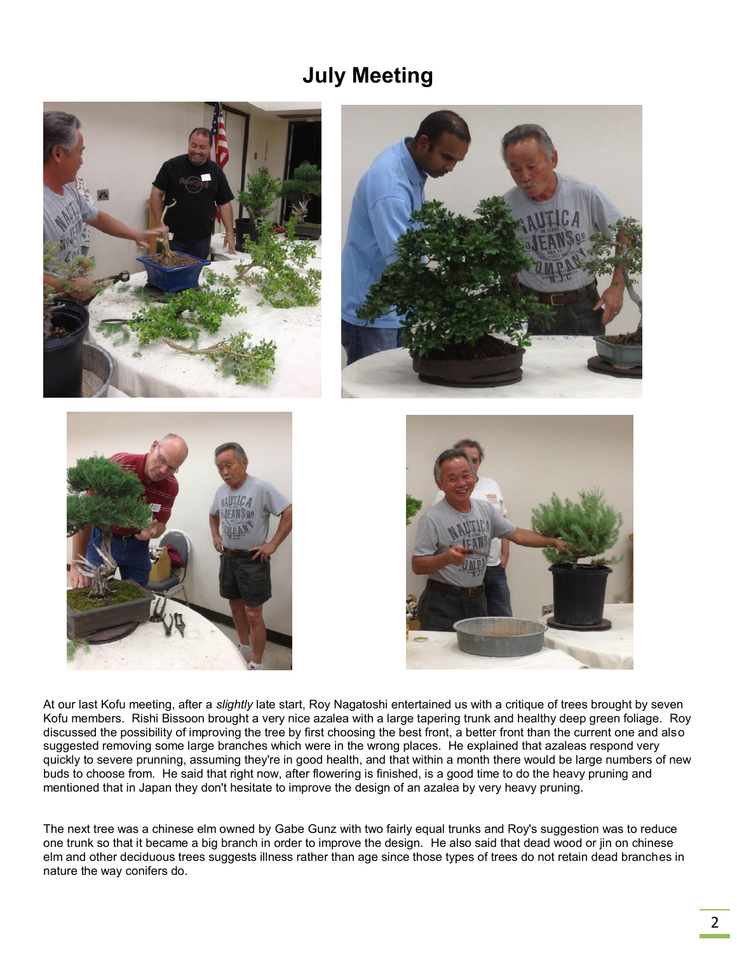### **July Meeting**



At our last Kofu meeting, after a *slightly* late start, Roy Nagatoshi entertained us with a critique of trees brought by seven Kofu members. Rishi Bissoon brought a very nice azalea with a large tapering trunk and healthy deep green foliage. Roy discussed the possibility of improving the tree by first choosing the best front, a better front than the current one and also suggested removing some large branches which were in the wrong places. He explained that azaleas respond very quickly to severe prunning, assuming they're in good health, and that within a month there would be large numbers of new buds to choose from. He said that right now, after flowering is finished, is a good time to do the heavy pruning and mentioned that in Japan they don't hesitate to improve the design of an azalea by very heavy pruning.

The next tree was a chinese elm owned by Gabe Gunz with two fairly equal trunks and Roy's suggestion was to reduce one trunk so that it became a big branch in order to improve the design. He also said that dead wood or jin on chinese elm and other deciduous trees suggests illness rather than age since those types of trees do not retain dead branches in nature the way conifers do.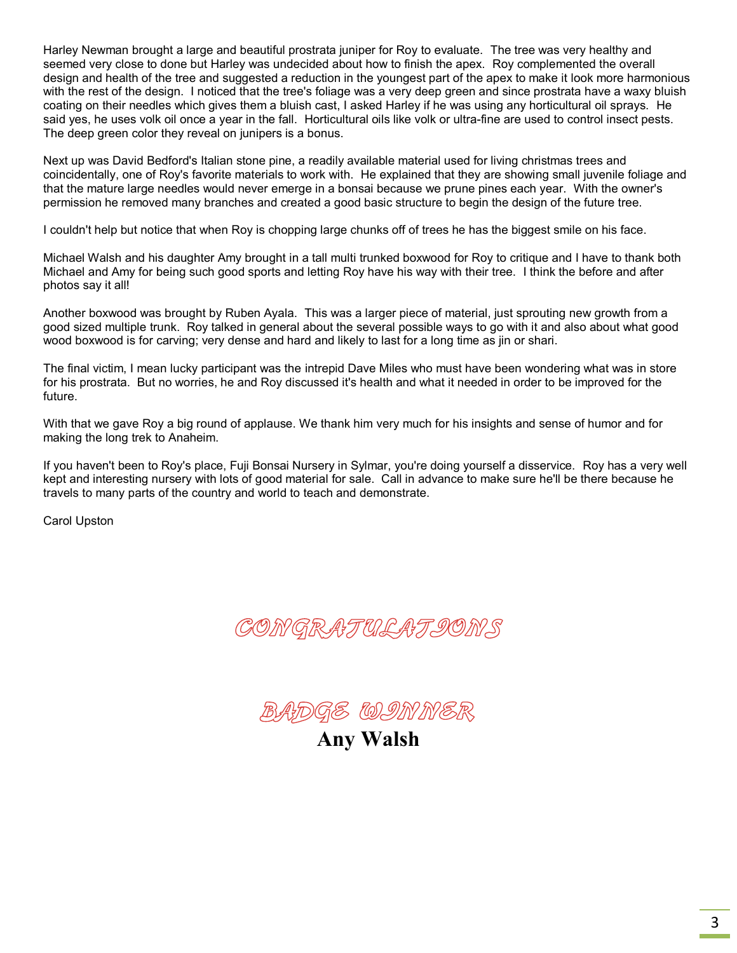Harley Newman brought a large and beautiful prostrata juniper for Roy to evaluate. The tree was very healthy and seemed very close to done but Harley was undecided about how to finish the apex. Roy complemented the overall design and health of the tree and suggested a reduction in the youngest part of the apex to make it look more harmonious with the rest of the design. I noticed that the tree's foliage was a very deep green and since prostrata have a waxy bluish coating on their needles which gives them a bluish cast, I asked Harley if he was using any horticultural oil sprays. He said yes, he uses volk oil once a year in the fall. Horticultural oils like volk or ultra-fine are used to control insect pests. The deep green color they reveal on junipers is a bonus.

Next up was David Bedford's Italian stone pine, a readily available material used for living christmas trees and coincidentally, one of Roy's favorite materials to work with. He explained that they are showing small juvenile foliage and that the mature large needles would never emerge in a bonsai because we prune pines each year. With the owner's permission he removed many branches and created a good basic structure to begin the design of the future tree.

I couldn't help but notice that when Roy is chopping large chunks off of trees he has the biggest smile on his face.

Michael Walsh and his daughter Amy brought in a tall multi trunked boxwood for Roy to critique and I have to thank both Michael and Amy for being such good sports and letting Roy have his way with their tree. I think the before and after photos say it all!

Another boxwood was brought by Ruben Ayala. This was a larger piece of material, just sprouting new growth from a good sized multiple trunk. Roy talked in general about the several possible ways to go with it and also about what good wood boxwood is for carving; very dense and hard and likely to last for a long time as jin or shari.

The final victim, I mean lucky participant was the intrepid Dave Miles who must have been wondering what was in store for his prostrata. But no worries, he and Roy discussed it's health and what it needed in order to be improved for the future.

With that we gave Roy a big round of applause. We thank him very much for his insights and sense of humor and for making the long trek to Anaheim.

If you haven't been to Roy's place, Fuji Bonsai Nursery in Sylmar, you're doing yourself a disservice. Roy has a very well kept and interesting nursery with lots of good material for sale. Call in advance to make sure he'll be there because he travels to many parts of the country and world to teach and demonstrate.

Carol Upston





**Any Walsh**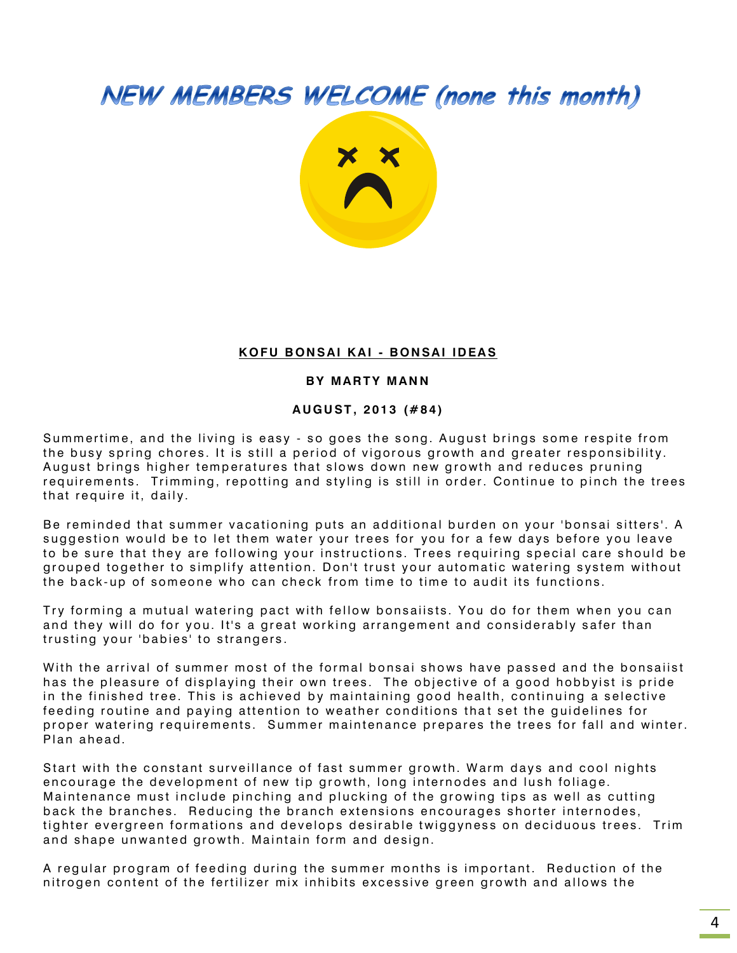# NEW MEMBERS WELCOME (none this month)



#### **K O F U B ON S AI K A I - B ON SA I ID EA S**

#### **BY MARTY MANN**

#### **A U G U ST , 2 01 3 (# 8 4 )**

Summertime, and the living is easy - so goes the song. August brings some respite from the busy spring chores. It is still a period of vigorous growth and greater responsibility. August brings higher temperatures that slows down new growth and reduces pruning requirements. Trimming, repotting and styling is still in order. Continue to pinch the trees that require it, daily.

Be reminded that summer vacationing puts an additional burden on your 'bonsai sitters'. A suggestion would be to let them water your trees for you for a few days before you leave to be sure that they are following your instructions. Trees requiring special care should be grouped together to simplify attention. Don't trust your automatic watering system without the back-up of someone who can check from time to time to audit its functions.

Try forming a mutual watering pact with fellow bonsaiists. You do for them when you can and they will do for you. It's a great working arrangement and considerably safer than trusting your 'babies' to strangers.

With the arrival of summer most of the formal bonsai shows have passed and the bonsaiist has the pleasure of displaying their own trees. The objective of a good hobbyist is pride in the finished tree. This is achieved by maintaining good health, continuing a selective feeding routine and paying attention to weather conditions that set the quidelines for proper watering requirements. Summer maintenance prepares the trees for fall and winter. Plan ahead.

Start with the constant surveillance of fast summer growth. Warm days and cool nights encourage the development of new tip growth, long internodes and lush foliage. Maintenance must include pinching and plucking of the growing tips as well as cutting back the branches. Reducing the branch extensions encourages shorter internodes, tighter evergreen formations and develops desirable twiggyness on deciduous trees. Trim and shape unwanted growth. Maintain form and design.

A regular program of feeding during the summer months is important. Reduction of the nitrogen content of the fertilizer mix inhibits excessive green growth and allows the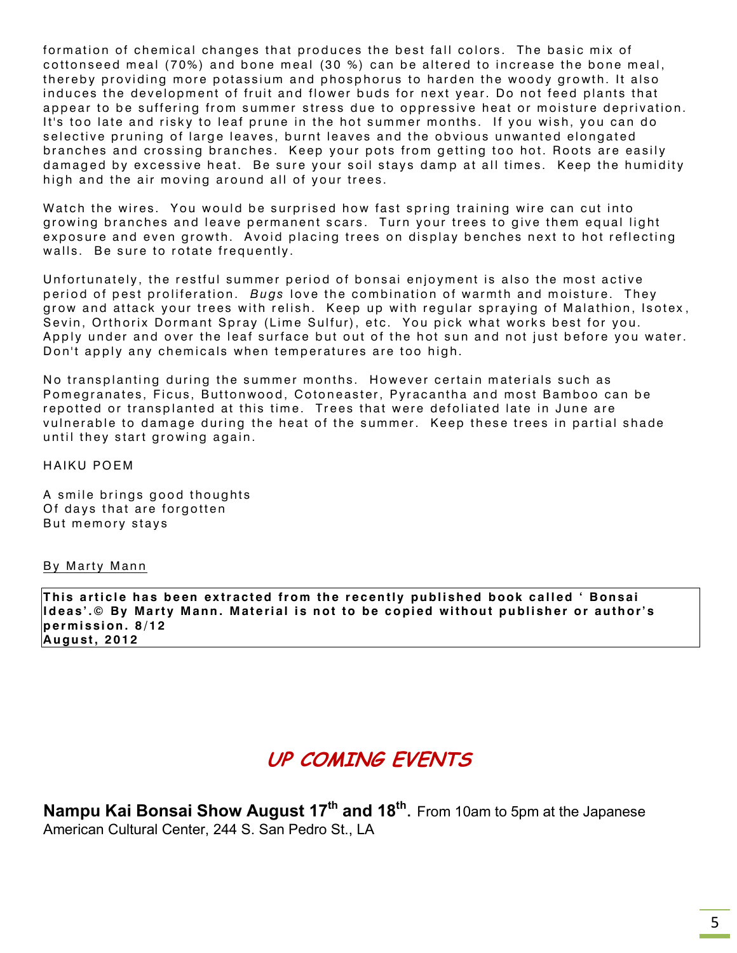formation of chemical changes that produces the best fall colors. The basic mix of cottonseed meal (70%) and bone meal (30 %) can be altered to increase the bone meal, thereby providing more potassium and phosphorus to harden the woody growth. It also induces the development of fruit and flower buds for next year. Do not feed plants that appear to be suffering from summer stress due to oppressive heat or moisture deprivation. It's too late and risky to leaf prune in the hot summer months. If you wish, you can do selective pruning of large leaves, burnt leaves and the obvious unwanted elongated branches and crossing branches. Keep your pots from getting too hot. Roots are easily damaged by excessive heat. Be sure your soil stays damp at all times. Keep the humidity high and the air moving around all of your trees.

Watch the wires. You would be surprised how fast spring training wire can cut into growing branches and leave permanent scars. Turn your trees to give them equal light exposure and even growth. Avoid placing trees on display benches next to hot reflecting walls. Be sure to rotate frequently.

Unfortunately, the restful summer period of bonsai enjoyment is also the most active period of pest proliferation. Bugs love the combination of warmth and moisture. They grow and attack your trees with relish. Keep up with regular spraying of Malathion, Isotex, Sevin, Orthorix Dormant Spray (Lime Sulfur), etc. You pick what works best for you. Apply under and over the leaf surface but out of the hot sun and not just before you water. Don't apply any chemicals when temperatures are too high.

No transplanting during the summer months. However certain materials such as Pomegranates, Ficus, Buttonwood, Cotoneaster, Pyracantha and most Bamboo can be repotted or transplanted at this time. Trees that were defoliated late in June are vulnerable to damage during the heat of the summer. Keep these trees in partial shade until they start growing again.

HAIKU POEM

A smile brings good thoughts Of days that are forgotten But memory stays

#### By Marty Mann

This article has been extracted from the recently published book called ' Bonsai **Ideas'.© By Marty Mann. Material is not to be copied without publisher or author's p e r m i ssi on . 8 / 1 2 A u gu st , 2 01 2**

### **UP COMING EVENTS**

**Nampu Kai Bonsai Show August 17th and 18th** . From 10am to 5pm at the Japanese American Cultural Center, 244 S. San Pedro St., LA